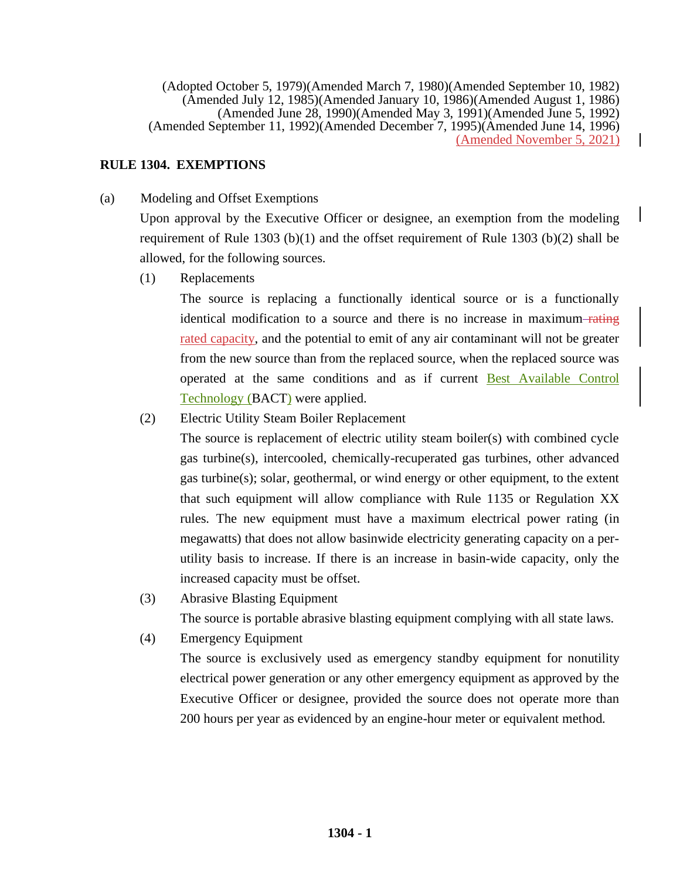(Adopted October 5, 1979)(Amended March 7, 1980)(Amended September 10, 1982) (Amended July 12, 1985)(Amended January 10, 1986)(Amended August 1, 1986) (Amended June 28, 1990)(Amended May 3, 1991)(Amended June 5, 1992) (Amended September 11, 1992)(Amended December 7, 1995)(Amended June 14, 1996) (Amended November 5, 2021)

# **RULE 1304. EXEMPTIONS**

(a) Modeling and Offset Exemptions

Upon approval by the Executive Officer or designee, an exemption from the modeling requirement of Rule 1303 (b)(1) and the offset requirement of Rule 1303 (b)(2) shall be allowed, for the following sources.

(1) Replacements

The source is replacing a functionally identical source or is a functionally identical modification to a source and there is no increase in maximum rating rated capacity, and the potential to emit of any air contaminant will not be greater from the new source than from the replaced source, when the replaced source was operated at the same conditions and as if current Best Available Control Technology (BACT) were applied.

(2) Electric Utility Steam Boiler Replacement

The source is replacement of electric utility steam boiler(s) with combined cycle gas turbine(s), intercooled, chemically-recuperated gas turbines, other advanced gas turbine(s); solar, geothermal, or wind energy or other equipment, to the extent that such equipment will allow compliance with Rule 1135 or Regulation XX rules. The new equipment must have a maximum electrical power rating (in megawatts) that does not allow basinwide electricity generating capacity on a perutility basis to increase. If there is an increase in basin-wide capacity, only the increased capacity must be offset.

(3) Abrasive Blasting Equipment

The source is portable abrasive blasting equipment complying with all state laws.

(4) Emergency Equipment

The source is exclusively used as emergency standby equipment for nonutility electrical power generation or any other emergency equipment as approved by the Executive Officer or designee, provided the source does not operate more than 200 hours per year as evidenced by an engine-hour meter or equivalent method.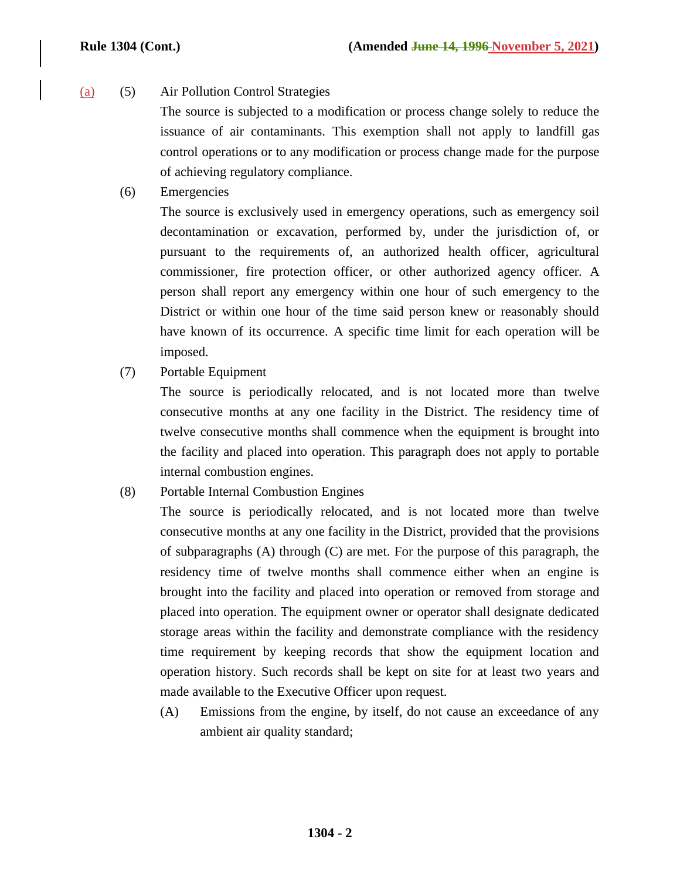(a) (5) Air Pollution Control Strategies

The source is subjected to a modification or process change solely to reduce the issuance of air contaminants. This exemption shall not apply to landfill gas control operations or to any modification or process change made for the purpose of achieving regulatory compliance.

(6) Emergencies

The source is exclusively used in emergency operations, such as emergency soil decontamination or excavation, performed by, under the jurisdiction of, or pursuant to the requirements of, an authorized health officer, agricultural commissioner, fire protection officer, or other authorized agency officer. A person shall report any emergency within one hour of such emergency to the District or within one hour of the time said person knew or reasonably should have known of its occurrence. A specific time limit for each operation will be imposed.

(7) Portable Equipment

The source is periodically relocated, and is not located more than twelve consecutive months at any one facility in the District. The residency time of twelve consecutive months shall commence when the equipment is brought into the facility and placed into operation. This paragraph does not apply to portable internal combustion engines.

(8) Portable Internal Combustion Engines

The source is periodically relocated, and is not located more than twelve consecutive months at any one facility in the District, provided that the provisions of subparagraphs (A) through (C) are met. For the purpose of this paragraph, the residency time of twelve months shall commence either when an engine is brought into the facility and placed into operation or removed from storage and placed into operation. The equipment owner or operator shall designate dedicated storage areas within the facility and demonstrate compliance with the residency time requirement by keeping records that show the equipment location and operation history. Such records shall be kept on site for at least two years and made available to the Executive Officer upon request.

(A) Emissions from the engine, by itself, do not cause an exceedance of any ambient air quality standard;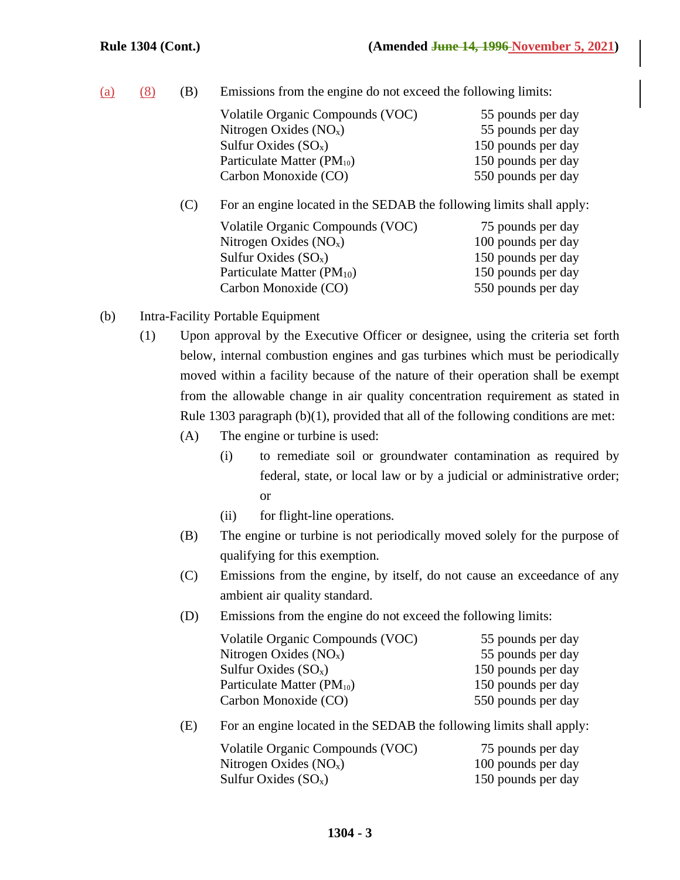|  |  |  | $(a)$ $(8)$ $(B)$ Emissions from the engine do not exceed the following limits: |  |  |  |  |  |  |  |
|--|--|--|---------------------------------------------------------------------------------|--|--|--|--|--|--|--|
|--|--|--|---------------------------------------------------------------------------------|--|--|--|--|--|--|--|

|     | Volatile Organic Compounds (VOC)                                     | 55 pounds per day  |  |  |  |  |
|-----|----------------------------------------------------------------------|--------------------|--|--|--|--|
|     | Nitrogen Oxides $(NOx)$                                              | 55 pounds per day  |  |  |  |  |
|     | Sulfur Oxides $(SO_x)$                                               | 150 pounds per day |  |  |  |  |
|     | Particulate Matter (PM <sub>10</sub> )                               | 150 pounds per day |  |  |  |  |
|     | Carbon Monoxide (CO)                                                 | 550 pounds per day |  |  |  |  |
| (C) | For an engine located in the SEDAB the following limits shall apply: |                    |  |  |  |  |
|     | Volatile Organic Compounds (VOC)                                     | 75 pounds per day  |  |  |  |  |
|     | Nitrogen Oxides $(NOx)$                                              | 100 pounds per day |  |  |  |  |
|     | Sulfur Oxides $(SO_x)$                                               | 150 pounds per day |  |  |  |  |
|     | Particulate Matter (PM <sub>10</sub> )                               | 150 pounds per day |  |  |  |  |
|     | Carbon Monoxide (CO)                                                 | 550 pounds per day |  |  |  |  |

- (b) Intra-Facility Portable Equipment
	- (1) Upon approval by the Executive Officer or designee, using the criteria set forth below, internal combustion engines and gas turbines which must be periodically moved within a facility because of the nature of their operation shall be exempt from the allowable change in air quality concentration requirement as stated in Rule 1303 paragraph (b)(1), provided that all of the following conditions are met:
		- (A) The engine or turbine is used:
			- (i) to remediate soil or groundwater contamination as required by federal, state, or local law or by a judicial or administrative order; or
			- (ii) for flight-line operations.
		- (B) The engine or turbine is not periodically moved solely for the purpose of qualifying for this exemption.
		- (C) Emissions from the engine, by itself, do not cause an exceedance of any ambient air quality standard.
		- (D) Emissions from the engine do not exceed the following limits:

| Volatile Organic Compounds (VOC) | 55 pounds per day  |
|----------------------------------|--------------------|
| Nitrogen Oxides $(NOx)$          | 55 pounds per day  |
| Sulfur Oxides $(SO_x)$           | 150 pounds per day |
| Particulate Matter $(PM_{10})$   | 150 pounds per day |
| Carbon Monoxide (CO)             | 550 pounds per day |
|                                  |                    |

(E) For an engine located in the SEDAB the following limits shall apply:

| Volatile Organic Compounds (VOC) | 75 pounds per day  |
|----------------------------------|--------------------|
| Nitrogen Oxides $(NO_x)$         | 100 pounds per day |
| Sulfur Oxides $(SO_x)$           | 150 pounds per day |

## **1304 - 3**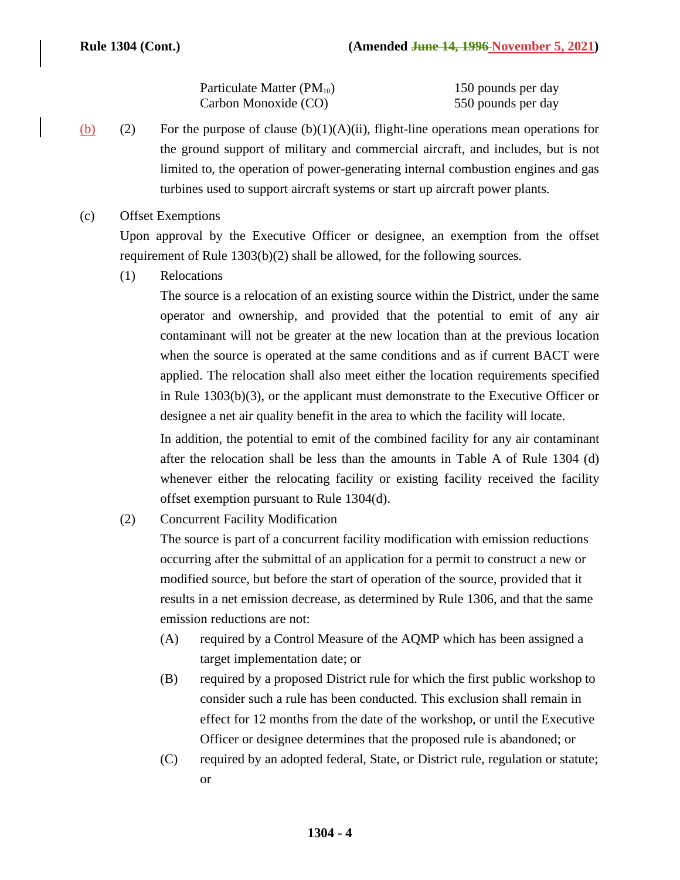| Particulate Matter ( $PM_{10}$ ) | 150 pounds per day |
|----------------------------------|--------------------|
| Carbon Monoxide (CO)             | 550 pounds per day |

- (b) (2) For the purpose of clause (b)(1)(A)(ii), flight-line operations mean operations for the ground support of military and commercial aircraft, and includes, but is not limited to, the operation of power-generating internal combustion engines and gas turbines used to support aircraft systems or start up aircraft power plants.
- (c) Offset Exemptions

Upon approval by the Executive Officer or designee, an exemption from the offset requirement of Rule 1303(b)(2) shall be allowed, for the following sources.

(1) Relocations

The source is a relocation of an existing source within the District, under the same operator and ownership, and provided that the potential to emit of any air contaminant will not be greater at the new location than at the previous location when the source is operated at the same conditions and as if current BACT were applied. The relocation shall also meet either the location requirements specified in Rule 1303(b)(3), or the applicant must demonstrate to the Executive Officer or designee a net air quality benefit in the area to which the facility will locate.

In addition, the potential to emit of the combined facility for any air contaminant after the relocation shall be less than the amounts in Table A of Rule 1304 (d) whenever either the relocating facility or existing facility received the facility offset exemption pursuant to Rule 1304(d).

(2) Concurrent Facility Modification

The source is part of a concurrent facility modification with emission reductions occurring after the submittal of an application for a permit to construct a new or modified source, but before the start of operation of the source, provided that it results in a net emission decrease, as determined by Rule 1306, and that the same emission reductions are not:

- (A) required by a Control Measure of the AQMP which has been assigned a target implementation date; or
- (B) required by a proposed District rule for which the first public workshop to consider such a rule has been conducted. This exclusion shall remain in effect for 12 months from the date of the workshop, or until the Executive Officer or designee determines that the proposed rule is abandoned; or
- (C) required by an adopted federal, State, or District rule, regulation or statute; or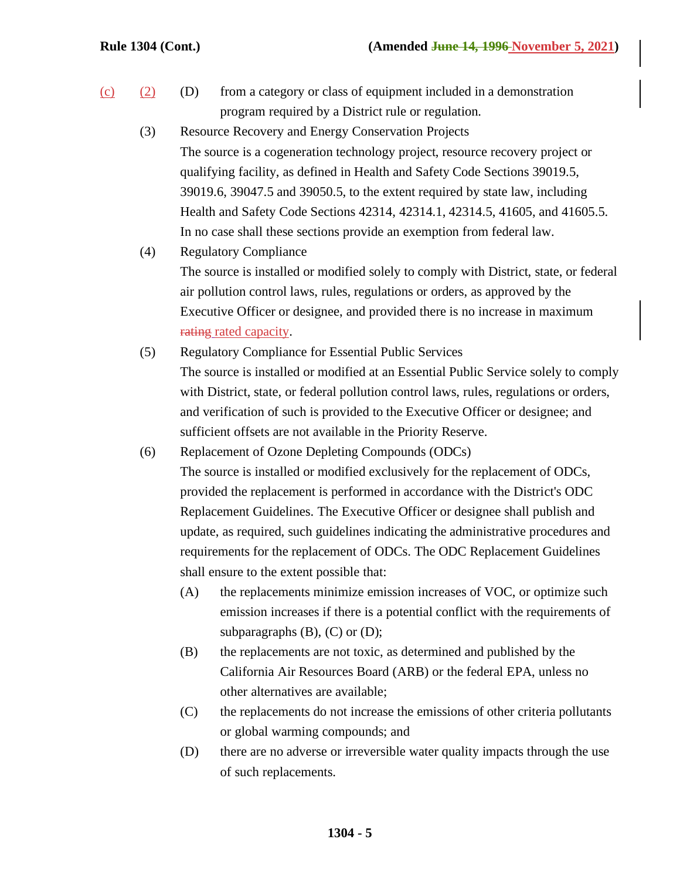- $(c)$  (2) (D) from a category or class of equipment included in a demonstration program required by a District rule or regulation.
	- (3) Resource Recovery and Energy Conservation Projects The source is a cogeneration technology project, resource recovery project or qualifying facility, as defined in Health and Safety Code Sections 39019.5, 39019.6, 39047.5 and 39050.5, to the extent required by state law, including Health and Safety Code Sections 42314, 42314.1, 42314.5, 41605, and 41605.5. In no case shall these sections provide an exemption from federal law.
	- (4) Regulatory Compliance The source is installed or modified solely to comply with District, state, or federal air pollution control laws, rules, regulations or orders, as approved by the Executive Officer or designee, and provided there is no increase in maximum rating rated capacity.
	- (5) Regulatory Compliance for Essential Public Services The source is installed or modified at an Essential Public Service solely to comply with District, state, or federal pollution control laws, rules, regulations or orders, and verification of such is provided to the Executive Officer or designee; and sufficient offsets are not available in the Priority Reserve.
	- (6) Replacement of Ozone Depleting Compounds (ODCs) The source is installed or modified exclusively for the replacement of ODCs, provided the replacement is performed in accordance with the District's ODC Replacement Guidelines. The Executive Officer or designee shall publish and update, as required, such guidelines indicating the administrative procedures and requirements for the replacement of ODCs. The ODC Replacement Guidelines shall ensure to the extent possible that:
		- (A) the replacements minimize emission increases of VOC, or optimize such emission increases if there is a potential conflict with the requirements of subparagraphs  $(B)$ ,  $(C)$  or  $(D)$ ;
		- (B) the replacements are not toxic, as determined and published by the California Air Resources Board (ARB) or the federal EPA, unless no other alternatives are available;
		- (C) the replacements do not increase the emissions of other criteria pollutants or global warming compounds; and
		- (D) there are no adverse or irreversible water quality impacts through the use of such replacements.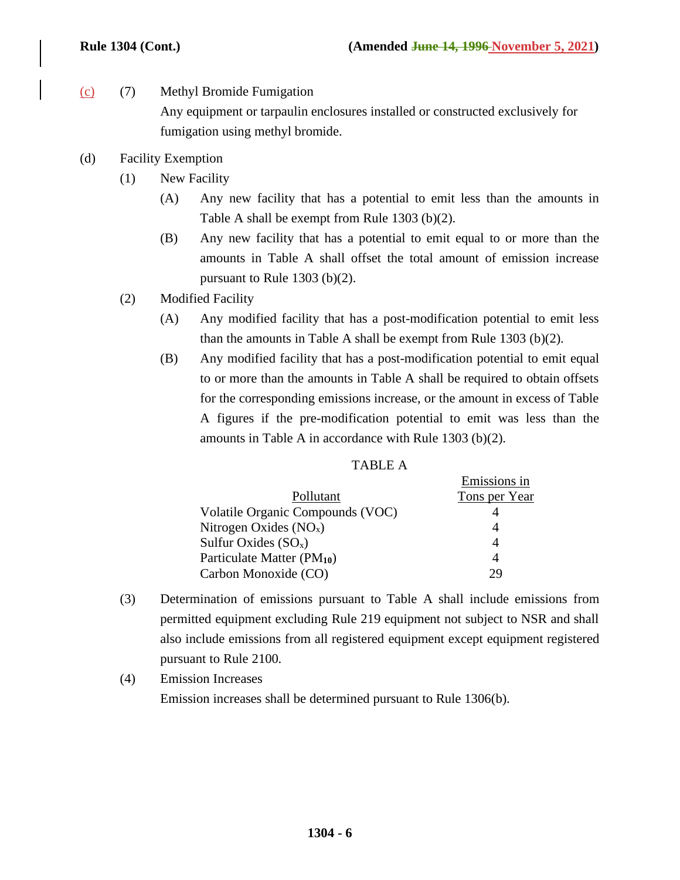- (c) (7) Methyl Bromide Fumigation Any equipment or tarpaulin enclosures installed or constructed exclusively for fumigation using methyl bromide.
- (d) Facility Exemption
	- (1) New Facility
		- (A) Any new facility that has a potential to emit less than the amounts in Table A shall be exempt from Rule 1303 (b)(2).
		- (B) Any new facility that has a potential to emit equal to or more than the amounts in Table A shall offset the total amount of emission increase pursuant to Rule 1303 (b)(2).
	- (2) Modified Facility
		- (A) Any modified facility that has a post-modification potential to emit less than the amounts in Table A shall be exempt from Rule 1303 (b)(2).
		- (B) Any modified facility that has a post-modification potential to emit equal to or more than the amounts in Table A shall be required to obtain offsets for the corresponding emissions increase, or the amount in excess of Table A figures if the pre-modification potential to emit was less than the amounts in Table A in accordance with Rule 1303 (b)(2).

| . . |  |
|-----|--|
|-----|--|

|                                        | Emissions in  |
|----------------------------------------|---------------|
| Pollutant                              | Tons per Year |
| Volatile Organic Compounds (VOC)       |               |
| Nitrogen Oxides $(NOx)$                |               |
| Sulfur Oxides $(SO_x)$                 | 4             |
| Particulate Matter (PM <sub>10</sub> ) | 4             |
| Carbon Monoxide (CO)                   | σq            |

- (3) Determination of emissions pursuant to Table A shall include emissions from permitted equipment excluding Rule 219 equipment not subject to NSR and shall also include emissions from all registered equipment except equipment registered pursuant to Rule 2100.
- (4) Emission Increases Emission increases shall be determined pursuant to Rule 1306(b).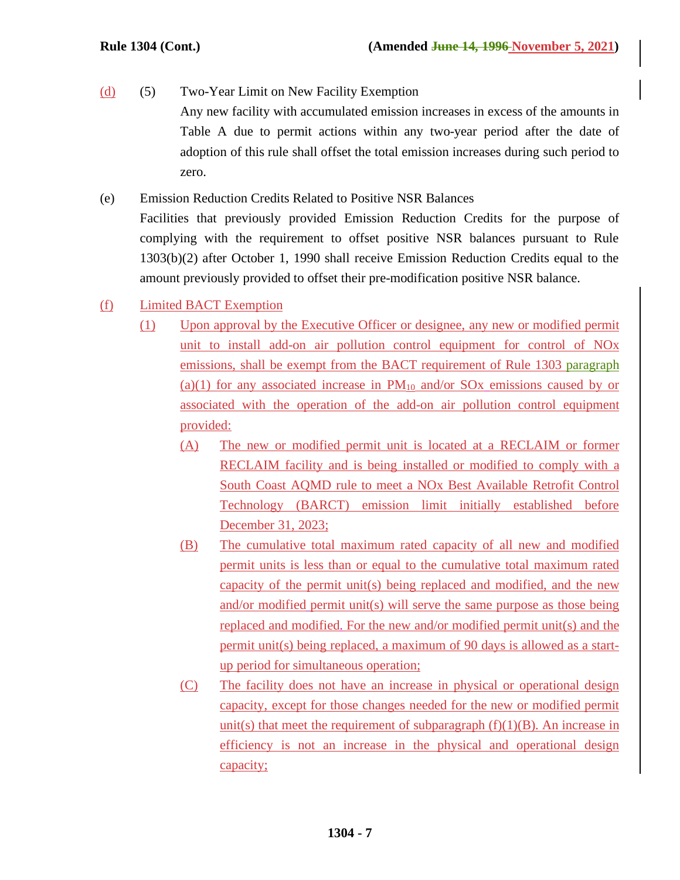- (d) (5) Two-Year Limit on New Facility Exemption Any new facility with accumulated emission increases in excess of the amounts in Table A due to permit actions within any two-year period after the date of adoption of this rule shall offset the total emission increases during such period to zero.
- (e) Emission Reduction Credits Related to Positive NSR Balances Facilities that previously provided Emission Reduction Credits for the purpose of complying with the requirement to offset positive NSR balances pursuant to Rule 1303(b)(2) after October 1, 1990 shall receive Emission Reduction Credits equal to the amount previously provided to offset their pre-modification positive NSR balance.
- (f) Limited BACT Exemption
	- (1) Upon approval by the Executive Officer or designee, any new or modified permit unit to install add-on air pollution control equipment for control of NOx emissions, shall be exempt from the BACT requirement of Rule 1303 paragraph (a)(1) for any associated increase in  $PM_{10}$  and/or SOx emissions caused by or associated with the operation of the add-on air pollution control equipment provided:
		- (A) The new or modified permit unit is located at a RECLAIM or former RECLAIM facility and is being installed or modified to comply with a South Coast AQMD rule to meet a NOx Best Available Retrofit Control Technology (BARCT) emission limit initially established before December 31, 2023;
		- (B) The cumulative total maximum rated capacity of all new and modified permit units is less than or equal to the cumulative total maximum rated capacity of the permit unit(s) being replaced and modified, and the new and/or modified permit unit(s) will serve the same purpose as those being replaced and modified. For the new and/or modified permit unit(s) and the permit unit(s) being replaced, a maximum of 90 days is allowed as a startup period for simultaneous operation;
		- (C) The facility does not have an increase in physical or operational design capacity, except for those changes needed for the new or modified permit unit(s) that meet the requirement of subparagraph  $(f)(1)(B)$ . An increase in efficiency is not an increase in the physical and operational design capacity;